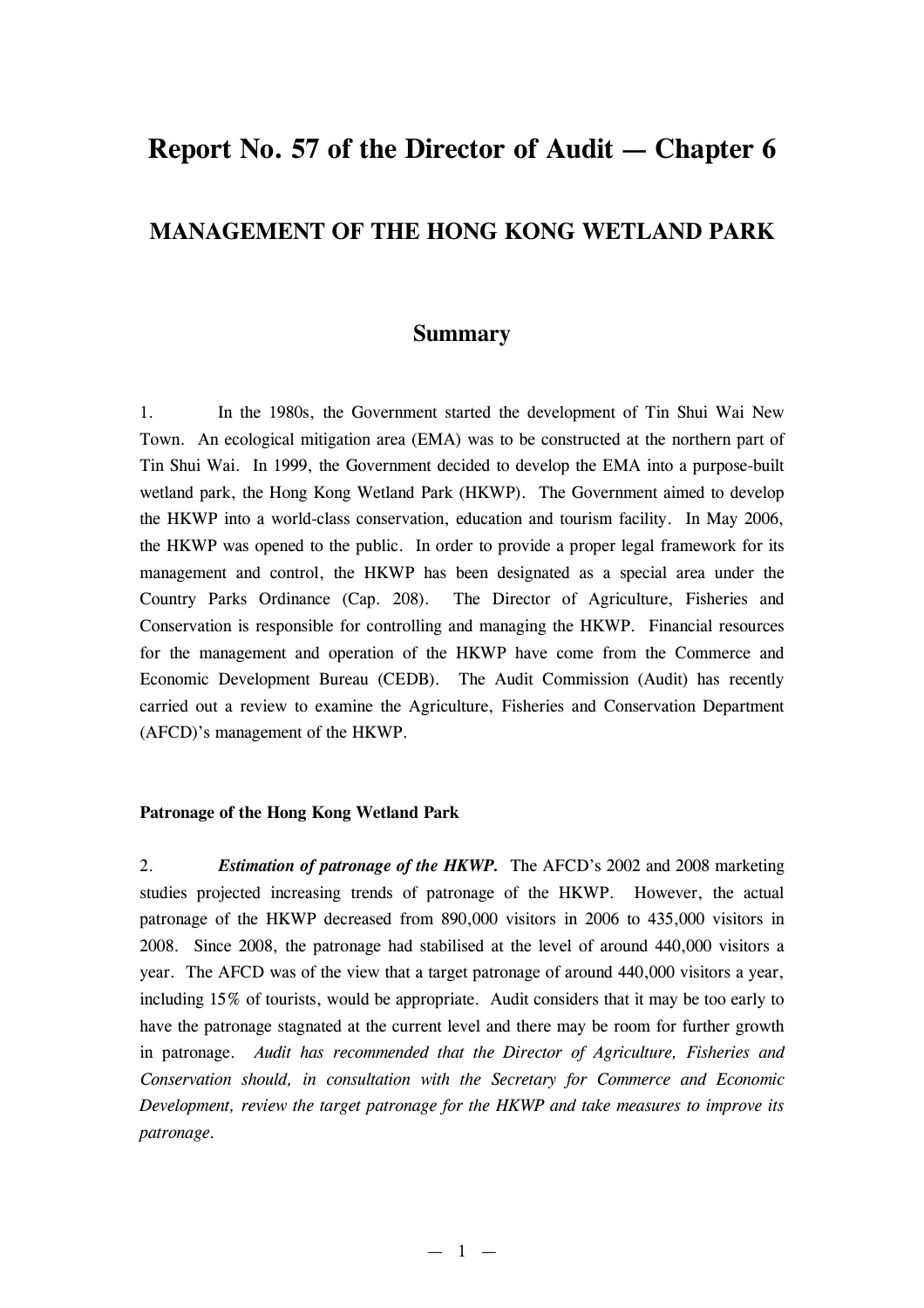# **Report No. 57 of the Director of Audit — Chapter 6**

## **MANAGEMENT OF THE HONG KONG WETLAND PARK**

### **Summary**

1. In the 1980s, the Government started the development of Tin Shui Wai New Town. An ecological mitigation area (EMA) was to be constructed at the northern part of Tin Shui Wai. In 1999, the Government decided to develop the EMA into a purpose-built wetland park, the Hong Kong Wetland Park (HKWP). The Government aimed to develop the HKWP into a world-class conservation, education and tourism facility. In May 2006, the HKWP was opened to the public. In order to provide a proper legal framework for its management and control, the HKWP has been designated as a special area under the Country Parks Ordinance (Cap. 208). The Director of Agriculture, Fisheries and Conservation is responsible for controlling and managing the HKWP. Financial resources for the management and operation of the HKWP have come from the Commerce and Economic Development Bureau (CEDB). The Audit Commission (Audit) has recently carried out a review to examine the Agriculture, Fisheries and Conservation Department (AFCD)'s management of the HKWP.

#### **Patronage of the Hong Kong Wetland Park**

2. *Estimation of patronage of the HKWP.* The AFCD's 2002 and 2008 marketing studies projected increasing trends of patronage of the HKWP. However, the actual patronage of the HKWP decreased from 890,000 visitors in 2006 to 435,000 visitors in 2008. Since 2008, the patronage had stabilised at the level of around 440,000 visitors a year. The AFCD was of the view that a target patronage of around 440,000 visitors a year, including 15% of tourists, would be appropriate. Audit considers that it may be too early to have the patronage stagnated at the current level and there may be room for further growth in patronage. *Audit has recommended that the Director of Agriculture, Fisheries and Conservation should, in consultation with the Secretary for Commerce and Economic Development, review the target patronage for the HKWP and take measures to improve its patronage.*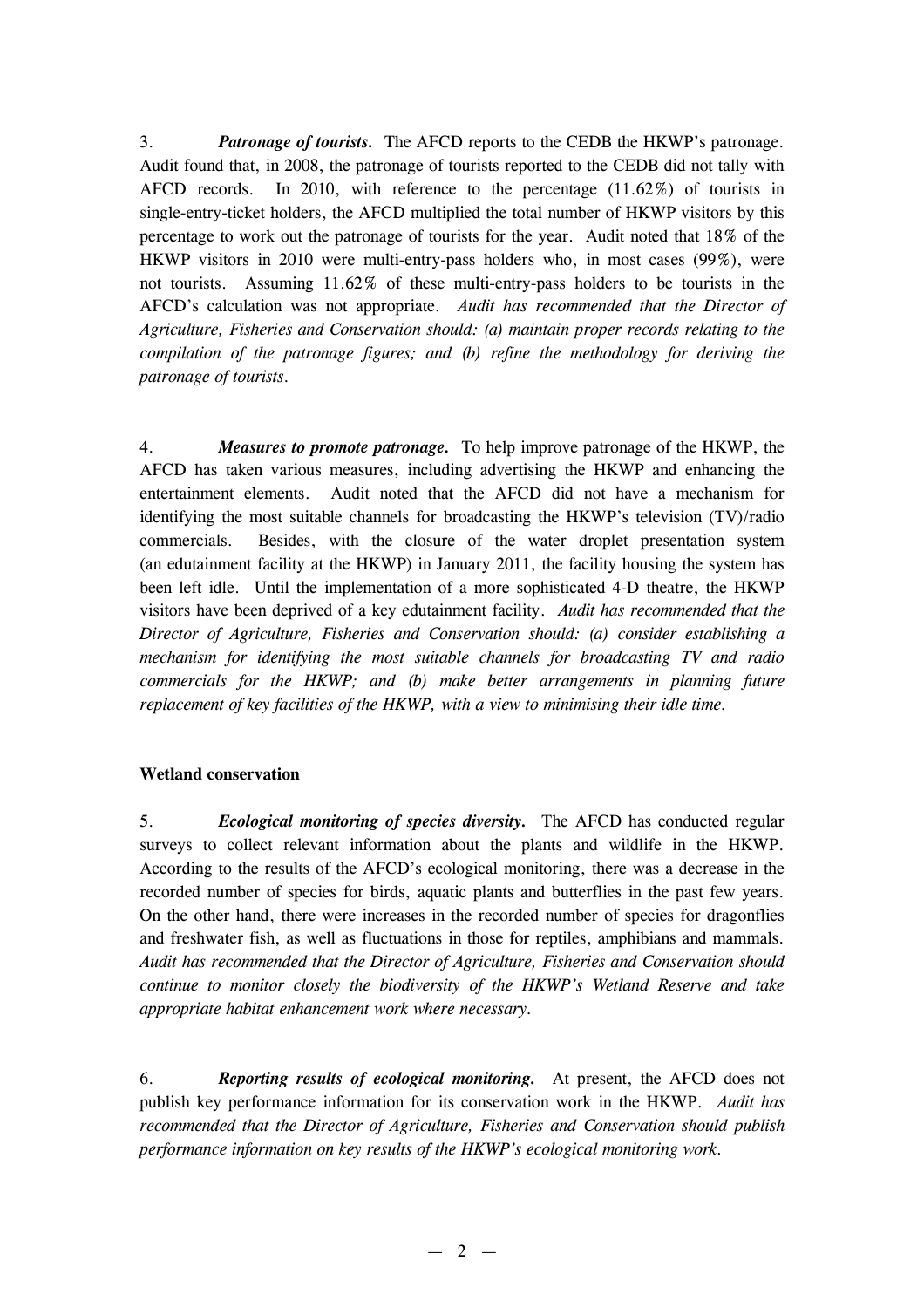3. *Patronage of tourists.* The AFCD reports to the CEDB the HKWP's patronage. Audit found that, in 2008, the patronage of tourists reported to the CEDB did not tally with AFCD records. In 2010, with reference to the percentage (11.62%) of tourists in single-entry-ticket holders, the AFCD multiplied the total number of HKWP visitors by this percentage to work out the patronage of tourists for the year. Audit noted that 18% of the HKWP visitors in 2010 were multi-entry-pass holders who, in most cases (99%), were not tourists. Assuming 11.62% of these multi-entry-pass holders to be tourists in the AFCD's calculation was not appropriate. *Audit has recommended that the Director of Agriculture, Fisheries and Conservation should: (a) maintain proper records relating to the compilation of the patronage figures; and (b) refine the methodology for deriving the patronage of tourists.*

4. *Measures to promote patronage.* To help improve patronage of the HKWP, the AFCD has taken various measures, including advertising the HKWP and enhancing the entertainment elements. Audit noted that the AFCD did not have a mechanism for identifying the most suitable channels for broadcasting the HKWP's television (TV)/radio commercials. Besides, with the closure of the water droplet presentation system (an edutainment facility at the HKWP) in January 2011, the facility housing the system has been left idle. Until the implementation of a more sophisticated 4-D theatre, the HKWP visitors have been deprived of a key edutainment facility. *Audit has recommended that the Director of Agriculture, Fisheries and Conservation should: (a) consider establishing a mechanism for identifying the most suitable channels for broadcasting TV and radio commercials for the HKWP; and (b) make better arrangements in planning future replacement of key facilities of the HKWP, with a view to minimising their idle time.*

#### **Wetland conservation**

5. *Ecological monitoring of species diversity.* The AFCD has conducted regular surveys to collect relevant information about the plants and wildlife in the HKWP. According to the results of the AFCD's ecological monitoring, there was a decrease in the recorded number of species for birds, aquatic plants and butterflies in the past few years. On the other hand, there were increases in the recorded number of species for dragonflies and freshwater fish, as well as fluctuations in those for reptiles, amphibians and mammals. *Audit has recommended that the Director of Agriculture, Fisheries and Conservation should continue to monitor closely the biodiversity of the HKWP's Wetland Reserve and take appropriate habitat enhancement work where necessary.*

6. *Reporting results of ecological monitoring.* At present, the AFCD does not publish key performance information for its conservation work in the HKWP. *Audit has recommended that the Director of Agriculture, Fisheries and Conservation should publish performance information on key results of the HKWP's ecological monitoring work.*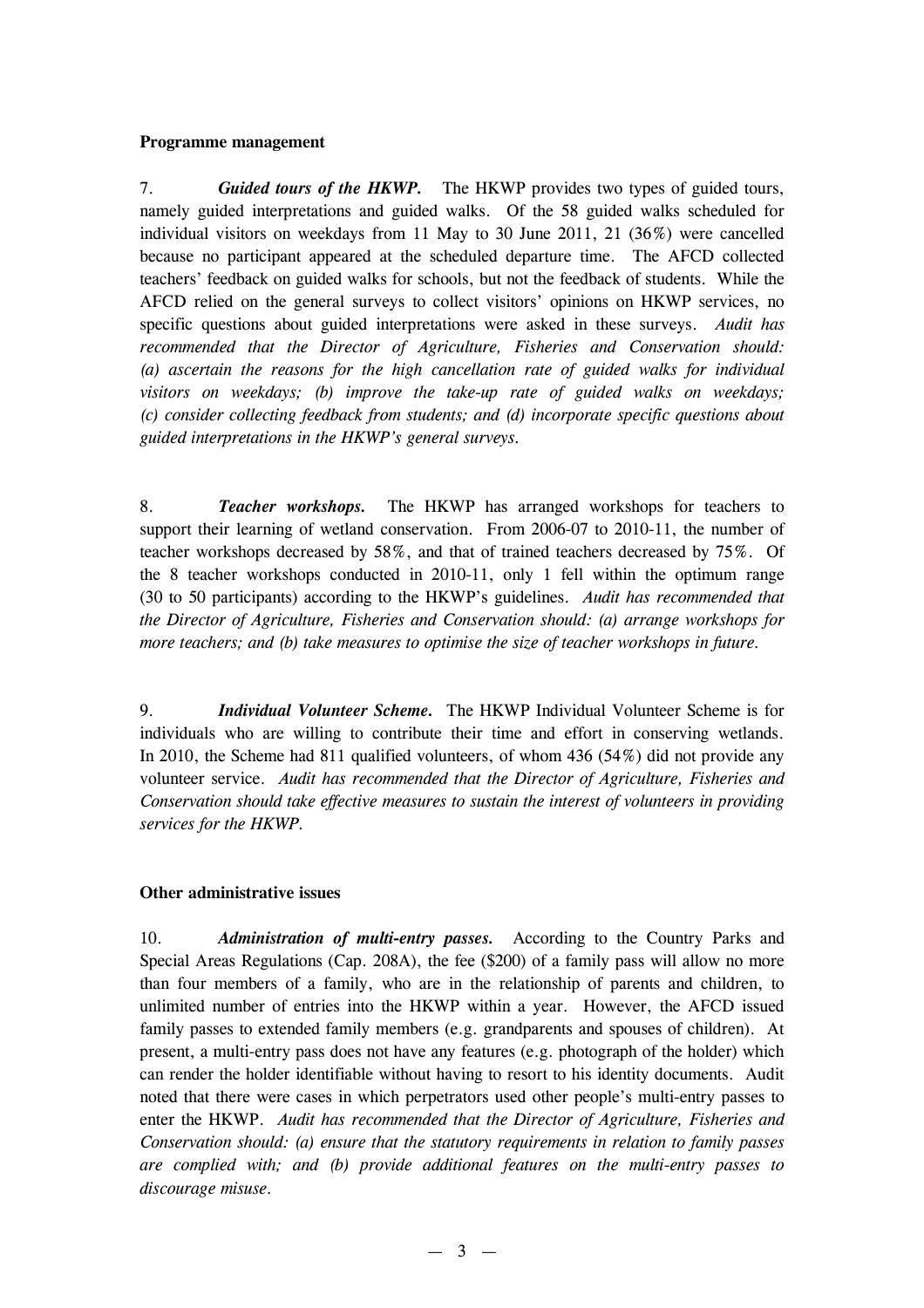#### **Programme management**

7. *Guided tours of the HKWP.* The HKWP provides two types of guided tours, namely guided interpretations and guided walks. Of the 58 guided walks scheduled for individual visitors on weekdays from 11 May to 30 June 2011, 21 (36%) were cancelled because no participant appeared at the scheduled departure time. The AFCD collected teachers' feedback on guided walks for schools, but not the feedback of students. While the AFCD relied on the general surveys to collect visitors' opinions on HKWP services, no specific questions about guided interpretations were asked in these surveys. *Audit has recommended that the Director of Agriculture, Fisheries and Conservation should: (a) ascertain the reasons for the high cancellation rate of guided walks for individual visitors on weekdays; (b) improve the take-up rate of guided walks on weekdays; (c) consider collecting feedback from students; and (d) incorporate specific questions about guided interpretations in the HKWP's general surveys.*

8. *Teacher workshops.* The HKWP has arranged workshops for teachers to support their learning of wetland conservation. From 2006-07 to 2010-11, the number of teacher workshops decreased by 58%, and that of trained teachers decreased by 75%. Of the 8 teacher workshops conducted in 2010-11, only 1 fell within the optimum range (30 to 50 participants) according to the HKWP's guidelines. *Audit has recommended that the Director of Agriculture, Fisheries and Conservation should: (a) arrange workshops for more teachers; and (b) take measures to optimise the size of teacher workshops in future.*

9. *Individual Volunteer Scheme.* The HKWP Individual Volunteer Scheme is for individuals who are willing to contribute their time and effort in conserving wetlands. In 2010, the Scheme had 811 qualified volunteers, of whom 436 (54%) did not provide any volunteer service. *Audit has recommended that the Director of Agriculture, Fisheries and Conservation should take effective measures to sustain the interest of volunteers in providing services for the HKWP.*

#### **Other administrative issues**

10. *Administration of multi-entry passes.* According to the Country Parks and Special Areas Regulations (Cap. 208A), the fee (\$200) of a family pass will allow no more than four members of a family, who are in the relationship of parents and children, to unlimited number of entries into the HKWP within a year. However, the AFCD issued family passes to extended family members (e.g. grandparents and spouses of children). At present, a multi-entry pass does not have any features (e.g. photograph of the holder) which can render the holder identifiable without having to resort to his identity documents. Audit noted that there were cases in which perpetrators used other people's multi-entry passes to enter the HKWP. *Audit has recommended that the Director of Agriculture, Fisheries and Conservation should: (a) ensure that the statutory requirements in relation to family passes are complied with; and (b) provide additional features on the multi-entry passes to discourage misuse.*